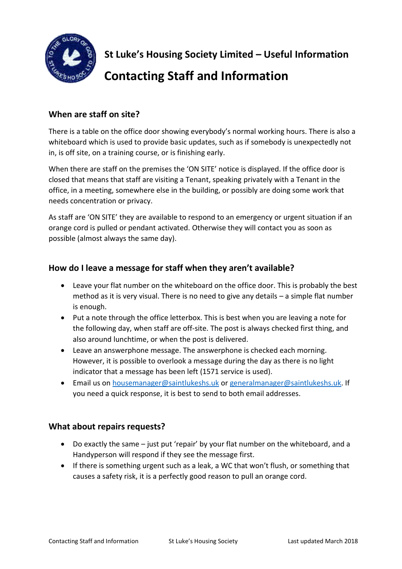

**St Luke's Housing Society Limited – Useful Information** 

# **Contacting Staff and Information**

## **When are staff on site?**

There is a table on the office door showing everybody's normal working hours. There is also a whiteboard which is used to provide basic updates, such as if somebody is unexpectedly not in, is off site, on a training course, or is finishing early.

When there are staff on the premises the 'ON SITE' notice is displayed. If the office door is closed that means that staff are visiting a Tenant, speaking privately with a Tenant in the office, in a meeting, somewhere else in the building, or possibly are doing some work that needs concentration or privacy.

As staff are 'ON SITE' they are available to respond to an emergency or urgent situation if an orange cord is pulled or pendant activated. Otherwise they will contact you as soon as possible (almost always the same day).

## **How do I leave a message for staff when they aren't available?**

- Leave your flat number on the whiteboard on the office door. This is probably the best method as it is very visual. There is no need to give any details – a simple flat number is enough.
- Put a note through the office letterbox. This is best when you are leaving a note for the following day, when staff are off-site. The post is always checked first thing, and also around lunchtime, or when the post is delivered.
- Leave an answerphone message. The answerphone is checked each morning. However, it is possible to overlook a message during the day as there is no light indicator that a message has been left (1571 service is used).
- Email us on [housemanager@saintlukeshs.uk](mailto:housemanager@saintlukeshs.uk) or [generalmanager@saintlukeshs.uk.](mailto:generalmanager@saintlukeshs.uk) If you need a quick response, it is best to send to both email addresses.

#### **What about repairs requests?**

- Do exactly the same just put 'repair' by your flat number on the whiteboard, and a Handyperson will respond if they see the message first.
- If there is something urgent such as a leak, a WC that won't flush, or something that causes a safety risk, it is a perfectly good reason to pull an orange cord.